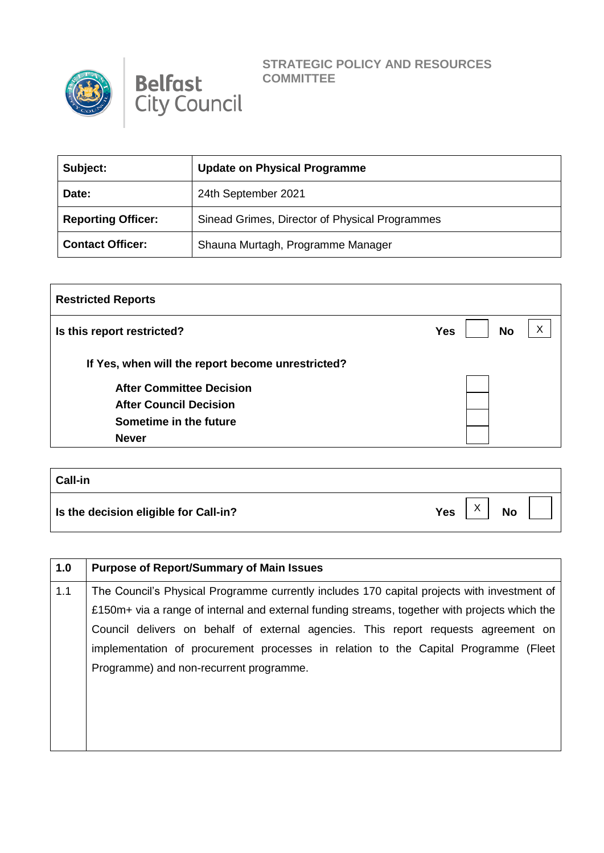



## **STRATEGIC POLICY AND RESOURCES COMMITTEE**

| Subject:                  | <b>Update on Physical Programme</b>            |
|---------------------------|------------------------------------------------|
| Date:                     | 24th September 2021                            |
| <b>Reporting Officer:</b> | Sinead Grimes, Director of Physical Programmes |
| <b>Contact Officer:</b>   | Shauna Murtagh, Programme Manager              |

| <b>Restricted Reports</b>                         |                              |  |
|---------------------------------------------------|------------------------------|--|
| Is this report restricted?                        | Χ<br><b>No</b><br><b>Yes</b> |  |
| If Yes, when will the report become unrestricted? |                              |  |
| <b>After Committee Decision</b>                   |                              |  |
| <b>After Council Decision</b>                     |                              |  |
| Sometime in the future                            |                              |  |
| <b>Never</b>                                      |                              |  |

| <b>Call-in</b>                        |                                              |
|---------------------------------------|----------------------------------------------|
| Is the decision eligible for Call-in? | $\checkmark$<br><b>Yes</b><br><b>No</b><br>⌒ |

| 1.0 | <b>Purpose of Report/Summary of Main Issues</b>                                               |  |
|-----|-----------------------------------------------------------------------------------------------|--|
| 1.1 | The Council's Physical Programme currently includes 170 capital projects with investment of   |  |
|     | £150m+ via a range of internal and external funding streams, together with projects which the |  |
|     | Council delivers on behalf of external agencies. This report requests agreement on            |  |
|     | implementation of procurement processes in relation to the Capital Programme (Fleet           |  |
|     | Programme) and non-recurrent programme.                                                       |  |
|     |                                                                                               |  |
|     |                                                                                               |  |
|     |                                                                                               |  |
|     |                                                                                               |  |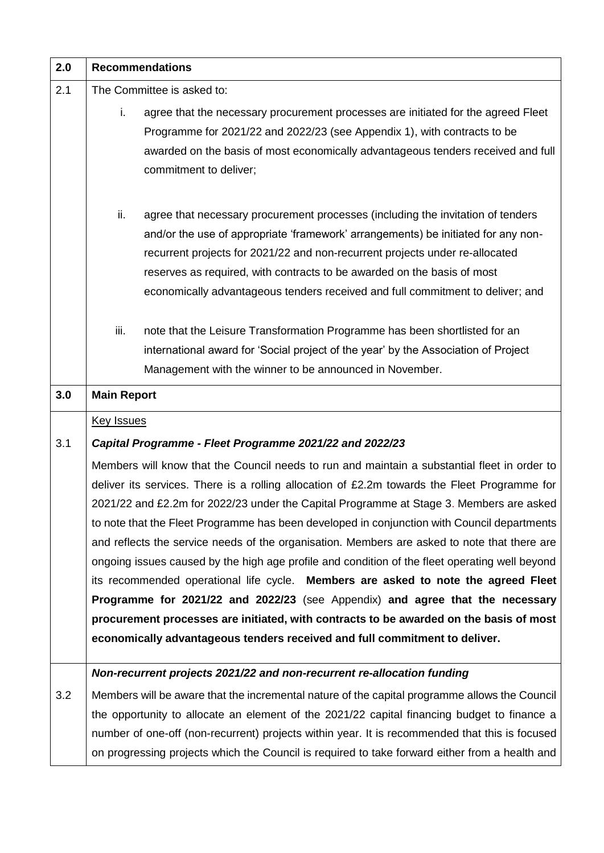| 2.0 | <b>Recommendations</b>                                                                         |  |
|-----|------------------------------------------------------------------------------------------------|--|
| 2.1 | The Committee is asked to:                                                                     |  |
|     | i.<br>agree that the necessary procurement processes are initiated for the agreed Fleet        |  |
|     | Programme for 2021/22 and 2022/23 (see Appendix 1), with contracts to be                       |  |
|     | awarded on the basis of most economically advantageous tenders received and full               |  |
|     | commitment to deliver;                                                                         |  |
|     |                                                                                                |  |
|     | ii.<br>agree that necessary procurement processes (including the invitation of tenders         |  |
|     | and/or the use of appropriate 'framework' arrangements) be initiated for any non-              |  |
|     | recurrent projects for 2021/22 and non-recurrent projects under re-allocated                   |  |
|     | reserves as required, with contracts to be awarded on the basis of most                        |  |
|     | economically advantageous tenders received and full commitment to deliver; and                 |  |
|     | iii.<br>note that the Leisure Transformation Programme has been shortlisted for an             |  |
|     | international award for 'Social project of the year' by the Association of Project             |  |
|     | Management with the winner to be announced in November.                                        |  |
| 3.0 | <b>Main Report</b>                                                                             |  |
|     |                                                                                                |  |
|     | <b>Key Issues</b>                                                                              |  |
| 3.1 | Capital Programme - Fleet Programme 2021/22 and 2022/23                                        |  |
|     | Members will know that the Council needs to run and maintain a substantial fleet in order to   |  |
|     | deliver its services. There is a rolling allocation of £2.2m towards the Fleet Programme for   |  |
|     | 2021/22 and £2.2m for 2022/23 under the Capital Programme at Stage 3. Members are asked        |  |
|     | to note that the Fleet Programme has been developed in conjunction with Council departments    |  |
|     | and reflects the service needs of the organisation. Members are asked to note that there are   |  |
|     | ongoing issues caused by the high age profile and condition of the fleet operating well beyond |  |
|     | its recommended operational life cycle. Members are asked to note the agreed Fleet             |  |
|     | Programme for 2021/22 and 2022/23 (see Appendix) and agree that the necessary                  |  |
|     | procurement processes are initiated, with contracts to be awarded on the basis of most         |  |
|     | economically advantageous tenders received and full commitment to deliver.                     |  |
|     | Non-recurrent projects 2021/22 and non-recurrent re-allocation funding                         |  |
| 3.2 | Members will be aware that the incremental nature of the capital programme allows the Council  |  |
|     | the opportunity to allocate an element of the 2021/22 capital financing budget to finance a    |  |
|     | number of one-off (non-recurrent) projects within year. It is recommended that this is focused |  |
|     | on progressing projects which the Council is required to take forward either from a health and |  |